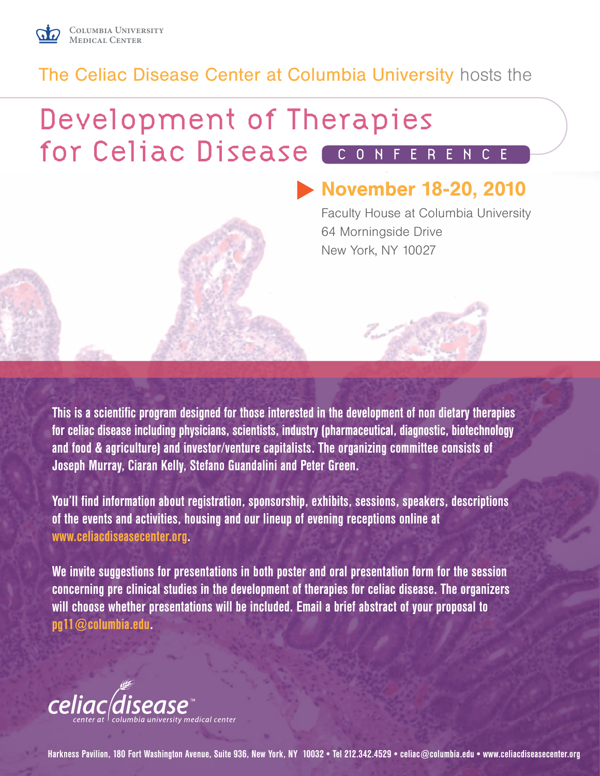

### The Celiac Disease Center at Columbia University hosts the

## Development of Therapies for Celiac Disease CONFERENCE

## November 18-20, 2010

Faculty House at Columbia University 64 Morningside Drive New York, NY 10027



This is a scientific program designed for those interested in the development of non dietary therapies for celiac disease including physicians, scientists, industry (pharmaceutical, diagnostic, biotechnology and food & agriculture) and investor/venture capitalists. The organizing committee consists of Joseph Murray, Ciaran Kelly, Stefano Guandalini and Peter Green.

You'll find information about registration, sponsorship, exhibits, sessions, speakers, descriptions of the events and activities, housing and our lineup of evening receptions online at www.celiacdiseasecenter.org.

We invite suggestions for presentations in both poster and oral presentation form for the session concerning pre clinical studies in the development of therapies for celiac disease. The organizers will choose whether presentations will be included. Email a brief abstract of your proposal to pg11@columbia.edu.



Harkness Pavilion, 180 Fort Washington Avenue, Suite 936, New York, NY 10032 • Tel 212.342.4529 • celiac@columbia.edu • www.celiacdiseasecenter.org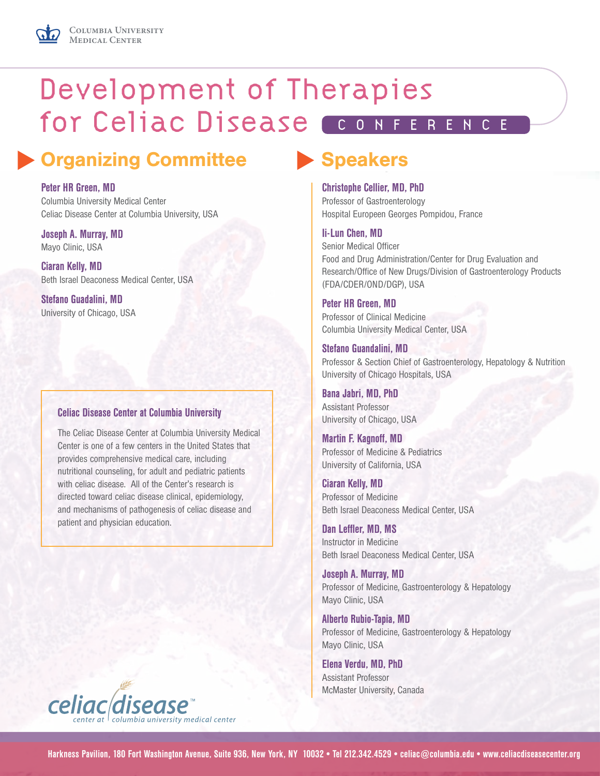## Development of Therapies for Celiac Disease CONFERENCE

## Organizing Committee Speakers

### Peter HR Green, MD

Columbia University Medical Center Celiac Disease Center at Columbia University, USA

Joseph A. Murray, MD Mayo Clinic, USA

Ciaran Kelly, MD Beth Israel Deaconess Medical Center, USA

Stefano Guadalini, MD University of Chicago, USA

### Celiac Disease Center at Columbia University

The Celiac Disease Center at Columbia University Medical Center is one of a few centers in the United States that provides comprehensive medical care, including nutritional counseling, for adult and pediatric patients with celiac disease. All of the Center's research is directed toward celiac disease clinical, epidemiology, and mechanisms of pathogenesis of celiac disease and patient and physician education.

### Christophe Cellier, MD, PhD

Professor of Gastroenterology Hospital Europeen Georges Pompidou, France

### Ii-Lun Chen, MD

Senior Medical Officer Food and Drug Administration/Center for Drug Evaluation and Research/Office of New Drugs/Division of Gastroenterology Products (FDA/CDER/OND/DGP), USA

#### Peter HR Green, MD

Professor of Clinical Medicine Columbia University Medical Center, USA

### Stefano Guandalini, MD

Professor & Section Chief of Gastroenterology, Hepatology & Nutrition University of Chicago Hospitals, USA

Bana Jabri, MD, PhD Assistant Professor University of Chicago, USA

Martin F. Kagnoff, MD Professor of Medicine & Pediatrics University of California, USA

Ciaran Kelly, MD Professor of Medicine Beth Israel Deaconess Medical Center, USA

Dan Leffler, MD, MS Instructor in Medicine Beth Israel Deaconess Medical Center, USA

Joseph A. Murray, MD Professor of Medicine, Gastroenterology & Hepatology Mayo Clinic, USA

Alberto Rubio-Tapia, MD Professor of Medicine, Gastroenterology & Hepatology Mayo Clinic, USA

Elena Verdu, MD, PhD Assistant Professor McMaster University, Canada

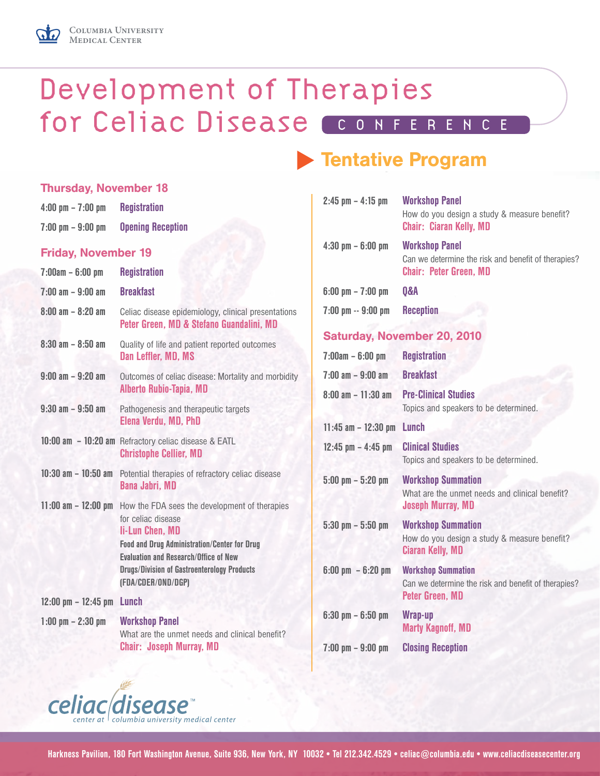

Thursday, November 18

## Development of Therapies for Celiac Disease CONFERENCE

## **Tentative Program**

| $4:00 \text{ pm} - 7:00 \text{ pm}$<br>$7:00 \text{ pm} - 9:00 \text{ pm}$ | <b>Registration</b><br><b>Opening Reception</b>                                                                                                                   | $2:45$ pm                              |
|----------------------------------------------------------------------------|-------------------------------------------------------------------------------------------------------------------------------------------------------------------|----------------------------------------|
| <b>Friday, November 19</b>                                                 |                                                                                                                                                                   | $4:30$ pm                              |
| $7:00am - 6:00 pm$                                                         | <b>Registration</b>                                                                                                                                               |                                        |
| $7:00 \text{ am} - 9:00 \text{ am}$                                        | <b>Breakfast</b>                                                                                                                                                  | $6:00$ pm                              |
| $8:00 \text{ am} - 8:20 \text{ am}$                                        | Celiac disease epidemiology, clinical presentations<br>Peter Green, MD & Stefano Guandalini, MD                                                                   | $7:00$ pm                              |
| $8:30$ am $- 8:50$ am                                                      | Quality of life and patient reported outcomes<br>Dan Leffler, MD, MS                                                                                              | <b>Satur</b><br>7:00am                 |
| $9:00$ am $-9:20$ am                                                       | Outcomes of celiac disease: Mortality and morbidity<br><b>Alberto Rubio-Tapia, MD</b>                                                                             | $7:00 \text{ am}$<br>$8:00 \text{ am}$ |
| $9:30$ am $-9:50$ am                                                       | Pathogenesis and therapeutic targets<br>Elena Verdu, MD, PhD                                                                                                      | $11:45$ an                             |
|                                                                            | 10:00 am - 10:20 am Refractory celiac disease & EATL<br><b>Christophe Cellier, MD</b>                                                                             | $12:45$ pn                             |
| $10:30$ am $- 10:50$ am                                                    | Potential therapies of refractory celiac disease<br><b>Bana Jabri, MD</b>                                                                                         | $5:00$ pm                              |
|                                                                            | 11:00 am - 12:00 pm How the FDA sees the development of therapies<br>for celiac disease<br>li-Lun Chen, MD<br><b>Food and Drug Administration/Center for Drug</b> | $5:30~\mathrm{pm}$                     |
|                                                                            | <b>Fyaluation and Research/Office of New</b><br><b>Drugs/Division of Gastroenterology Products</b><br>(FDA/CDER/OND/DGP)                                          | $6:00~\mathrm{pm}$                     |
| $12:00$ pm $- 12:45$ pm Lunch                                              |                                                                                                                                                                   |                                        |
| $1:00$ pm $- 2:30$ pm                                                      | <b>Workshop Panel</b>                                                                                                                                             | $6:30~\mathrm{pm}$                     |
|                                                                            | What are the unmet needs and clinical benefit?<br><b>Chair: Joseph Murray, MD</b>                                                                                 | $7:00~\mathrm{pm}$                     |
|                                                                            |                                                                                                                                                                   |                                        |

| $2:45$ pm $-4:15$ pm                 | <b>Workshop Panel</b><br>How do you design a study & measure benefit?<br><b>Chair: Ciaran Kelly, MD</b>       |
|--------------------------------------|---------------------------------------------------------------------------------------------------------------|
| $4:30$ pm $-6:00$ pm                 | <b>Workshop Panel</b><br>Can we determine the risk and benefit of therapies?<br><b>Chair: Peter Green, MD</b> |
| $6:00 \text{ pm} - 7:00 \text{ pm}$  | <b>0&amp;A</b>                                                                                                |
| 7:00 pm -- 9:00 pm                   | <b>Reception</b>                                                                                              |
|                                      | <b>Saturday, November 20, 2010</b>                                                                            |
| $7:00am - 6:00 pm$                   | <b>Registration</b>                                                                                           |
| $7:00 \text{ am} - 9:00 \text{ am}$  | <b>Breakfast</b>                                                                                              |
| $8:00 \text{ am} - 11:30 \text{ am}$ | <b>Pre-Clinical Studies</b><br>Topics and speakers to be determined.                                          |
| $11:45$ am $-12:30$ pm               | Lunch                                                                                                         |
| $12:45$ pm $- 4:45$ pm               | <b>Clinical Studies</b><br>Topics and speakers to be determined.                                              |
| $5:00$ pm $-5:20$ pm                 | <b>Workshop Summation</b><br>What are the unmet needs and clinical benefit?<br><b>Joseph Murray, MD</b>       |
| $5:30$ pm $-5:50$ pm                 | <b>Workshop Summation</b><br>How do you design a study & measure benefit?<br><b>Ciaran Kelly, MD</b>          |
| $6:00 \text{ pm } -6:20 \text{ pm }$ | <b>Workshop Summation</b><br>Can we determine the risk and benefit of therapies?<br><b>Peter Green, MD</b>    |
| $6:30$ pm $-6:50$ pm                 | Wrap-up<br><b>Marty Kagnoff, MD</b>                                                                           |

7:00 pm – 9:00 pm Closing Reception